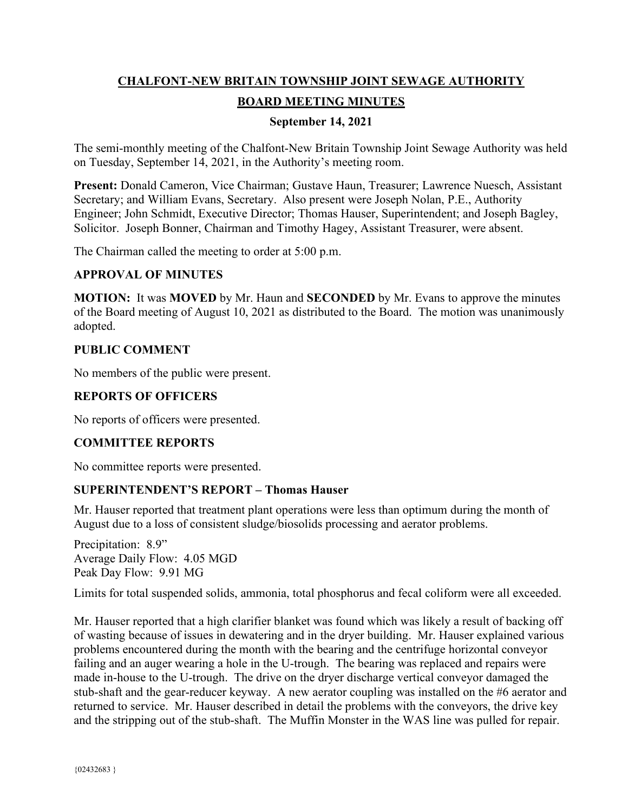# **CHALFONT-NEW BRITAIN TOWNSHIP JOINT SEWAGE AUTHORITY BOARD MEETING MINUTES**

## **September 14, 2021**

The semi-monthly meeting of the Chalfont-New Britain Township Joint Sewage Authority was held on Tuesday, September 14, 2021, in the Authority's meeting room.

**Present:** Donald Cameron, Vice Chairman; Gustave Haun, Treasurer; Lawrence Nuesch, Assistant Secretary; and William Evans, Secretary. Also present were Joseph Nolan, P.E., Authority Engineer; John Schmidt, Executive Director; Thomas Hauser, Superintendent; and Joseph Bagley, Solicitor. Joseph Bonner, Chairman and Timothy Hagey, Assistant Treasurer, were absent.

The Chairman called the meeting to order at 5:00 p.m.

## **APPROVAL OF MINUTES**

**MOTION:** It was **MOVED** by Mr. Haun and **SECONDED** by Mr. Evans to approve the minutes of the Board meeting of August 10, 2021 as distributed to the Board. The motion was unanimously adopted.

## **PUBLIC COMMENT**

No members of the public were present.

## **REPORTS OF OFFICERS**

No reports of officers were presented.

## **COMMITTEE REPORTS**

No committee reports were presented.

## **SUPERINTENDENT'S REPORT – Thomas Hauser**

Mr. Hauser reported that treatment plant operations were less than optimum during the month of August due to a loss of consistent sludge/biosolids processing and aerator problems.

Precipitation: 8.9" Average Daily Flow: 4.05 MGD Peak Day Flow: 9.91 MG

Limits for total suspended solids, ammonia, total phosphorus and fecal coliform were all exceeded.

Mr. Hauser reported that a high clarifier blanket was found which was likely a result of backing off of wasting because of issues in dewatering and in the dryer building. Mr. Hauser explained various problems encountered during the month with the bearing and the centrifuge horizontal conveyor failing and an auger wearing a hole in the U-trough. The bearing was replaced and repairs were made in-house to the U-trough. The drive on the dryer discharge vertical conveyor damaged the stub-shaft and the gear-reducer keyway. A new aerator coupling was installed on the #6 aerator and returned to service. Mr. Hauser described in detail the problems with the conveyors, the drive key and the stripping out of the stub-shaft. The Muffin Monster in the WAS line was pulled for repair.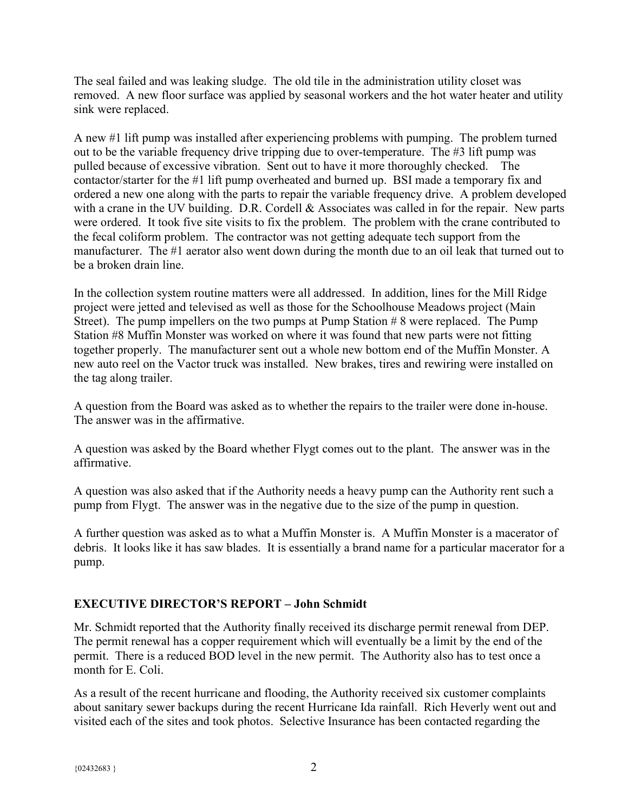The seal failed and was leaking sludge. The old tile in the administration utility closet was removed. A new floor surface was applied by seasonal workers and the hot water heater and utility sink were replaced.

A new #1 lift pump was installed after experiencing problems with pumping. The problem turned out to be the variable frequency drive tripping due to over-temperature. The #3 lift pump was pulled because of excessive vibration. Sent out to have it more thoroughly checked. The contactor/starter for the #1 lift pump overheated and burned up. BSI made a temporary fix and ordered a new one along with the parts to repair the variable frequency drive. A problem developed with a crane in the UV building. D.R. Cordell & Associates was called in for the repair. New parts were ordered. It took five site visits to fix the problem. The problem with the crane contributed to the fecal coliform problem. The contractor was not getting adequate tech support from the manufacturer. The #1 aerator also went down during the month due to an oil leak that turned out to be a broken drain line.

In the collection system routine matters were all addressed. In addition, lines for the Mill Ridge project were jetted and televised as well as those for the Schoolhouse Meadows project (Main Street). The pump impellers on the two pumps at Pump Station # 8 were replaced. The Pump Station #8 Muffin Monster was worked on where it was found that new parts were not fitting together properly. The manufacturer sent out a whole new bottom end of the Muffin Monster. A new auto reel on the Vactor truck was installed. New brakes, tires and rewiring were installed on the tag along trailer.

A question from the Board was asked as to whether the repairs to the trailer were done in-house. The answer was in the affirmative.

A question was asked by the Board whether Flygt comes out to the plant. The answer was in the affirmative.

A question was also asked that if the Authority needs a heavy pump can the Authority rent such a pump from Flygt. The answer was in the negative due to the size of the pump in question.

A further question was asked as to what a Muffin Monster is. A Muffin Monster is a macerator of debris. It looks like it has saw blades. It is essentially a brand name for a particular macerator for a pump.

# **EXECUTIVE DIRECTOR'S REPORT – John Schmidt**

Mr. Schmidt reported that the Authority finally received its discharge permit renewal from DEP. The permit renewal has a copper requirement which will eventually be a limit by the end of the permit. There is a reduced BOD level in the new permit. The Authority also has to test once a month for E. Coli.

As a result of the recent hurricane and flooding, the Authority received six customer complaints about sanitary sewer backups during the recent Hurricane Ida rainfall. Rich Heverly went out and visited each of the sites and took photos. Selective Insurance has been contacted regarding the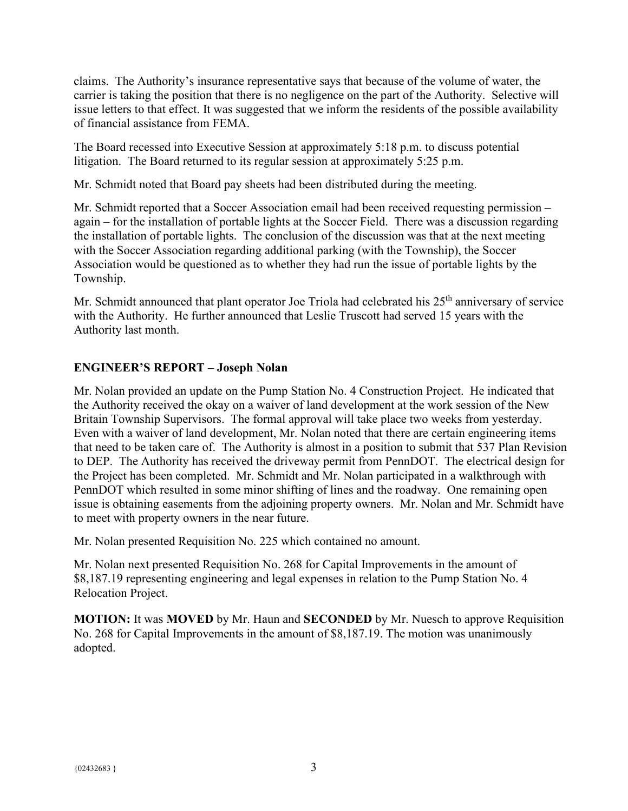claims. The Authority's insurance representative says that because of the volume of water, the carrier is taking the position that there is no negligence on the part of the Authority. Selective will issue letters to that effect. It was suggested that we inform the residents of the possible availability of financial assistance from FEMA.

The Board recessed into Executive Session at approximately 5:18 p.m. to discuss potential litigation. The Board returned to its regular session at approximately 5:25 p.m.

Mr. Schmidt noted that Board pay sheets had been distributed during the meeting.

Mr. Schmidt reported that a Soccer Association email had been received requesting permission – again – for the installation of portable lights at the Soccer Field. There was a discussion regarding the installation of portable lights. The conclusion of the discussion was that at the next meeting with the Soccer Association regarding additional parking (with the Township), the Soccer Association would be questioned as to whether they had run the issue of portable lights by the Township.

Mr. Schmidt announced that plant operator Joe Triola had celebrated his 25<sup>th</sup> anniversary of service with the Authority. He further announced that Leslie Truscott had served 15 years with the Authority last month.

# **ENGINEER'S REPORT – Joseph Nolan**

Mr. Nolan provided an update on the Pump Station No. 4 Construction Project. He indicated that the Authority received the okay on a waiver of land development at the work session of the New Britain Township Supervisors. The formal approval will take place two weeks from yesterday. Even with a waiver of land development, Mr. Nolan noted that there are certain engineering items that need to be taken care of. The Authority is almost in a position to submit that 537 Plan Revision to DEP. The Authority has received the driveway permit from PennDOT. The electrical design for the Project has been completed. Mr. Schmidt and Mr. Nolan participated in a walkthrough with PennDOT which resulted in some minor shifting of lines and the roadway. One remaining open issue is obtaining easements from the adjoining property owners. Mr. Nolan and Mr. Schmidt have to meet with property owners in the near future.

Mr. Nolan presented Requisition No. 225 which contained no amount.

Mr. Nolan next presented Requisition No. 268 for Capital Improvements in the amount of \$8,187.19 representing engineering and legal expenses in relation to the Pump Station No. 4 Relocation Project.

**MOTION:** It was **MOVED** by Mr. Haun and **SECONDED** by Mr. Nuesch to approve Requisition No. 268 for Capital Improvements in the amount of \$8,187.19. The motion was unanimously adopted.